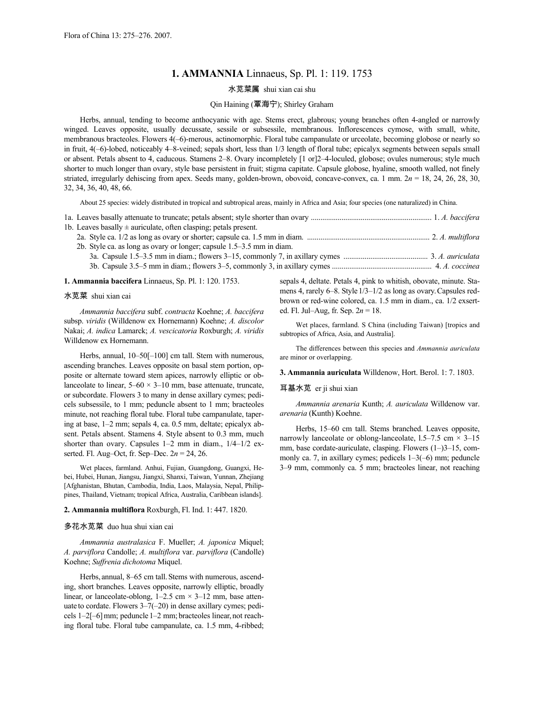# **1. AMMANNIA** Linnaeus, Sp. Pl. 1: 119. 1753

### 水苋菜属 shui xian cai shu

# Qin Haining (覃海宁); Shirley Graham

Herbs, annual, tending to become anthocyanic with age. Stems erect, glabrous; young branches often 4-angled or narrowly winged. Leaves opposite, usually decussate, sessile or subsessile, membranous. Inflorescences cymose, with small, white, membranous bracteoles. Flowers 4(–6)-merous, actinomorphic. Floral tube campanulate or urceolate, becoming globose or nearly so in fruit, 4(–6)-lobed, noticeably 4–8-veined; sepals short, less than 1/3 length of floral tube; epicalyx segments between sepals small or absent. Petals absent to 4, caducous. Stamens 2–8. Ovary incompletely [1 or]2–4-loculed, globose; ovules numerous; style much shorter to much longer than ovary, style base persistent in fruit; stigma capitate. Capsule globose, hyaline, smooth walled, not finely striated, irregularly dehiscing from apex. Seeds many, golden-brown, obovoid, concave-convex, ca. 1 mm.  $2n = 18$ ,  $24$ ,  $26$ ,  $28$ ,  $30$ , 32, 34, 36, 40, 48, 66.

About 25 species: widely distributed in tropical and subtropical areas, mainly in Africa and Asia; four species (one naturalized) in China.

| 1b. Leaves basally $\pm$ auriculate, often clasping; petals present.  |  |
|-----------------------------------------------------------------------|--|
|                                                                       |  |
| 2b. Style ca. as long as ovary or longer; capsule 1.5–3.5 mm in diam. |  |
|                                                                       |  |
|                                                                       |  |

#### **1. Ammannia baccifera** Linnaeus, Sp. Pl. 1: 120. 1753.

#### 水苋菜 shui xian cai

*Ammannia baccifera* subf. *contracta* Koehne; *A. baccifera* subsp. *viridis* (Willdenow ex Hornemann) Koehne; *A. discolor* Nakai; *A. indica* Lamarck; *A. vescicatoria* Roxburgh; *A. viridis* Willdenow ex Hornemann.

Herbs, annual, 10–50[-100] cm tall. Stem with numerous, ascending branches. Leaves opposite on basal stem portion, opposite or alternate toward stem apices, narrowly elliptic or oblanceolate to linear,  $5-60 \times 3-10$  mm, base attenuate, truncate, or subcordate. Flowers 3 to many in dense axillary cymes; pedicels subsessile, to 1 mm; peduncle absent to 1 mm; bracteoles minute, not reaching floral tube. Floral tube campanulate, tapering at base, 1–2 mm; sepals 4, ca. 0.5 mm, deltate; epicalyx absent. Petals absent. Stamens 4. Style absent to 0.3 mm, much shorter than ovary. Capsules 1–2 mm in diam.,  $1/4-1/2$  exserted. Fl. Aug–Oct, fr. Sep–Dec. 2*n* = 24, 26.

Wet places, farmland. Anhui, Fujian, Guangdong, Guangxi, Hebei, Hubei, Hunan, Jiangsu, Jiangxi, Shanxi, Taiwan, Yunnan, Zhejiang [Afghanistan, Bhutan, Cambodia, India, Laos, Malaysia, Nepal, Philippines, Thailand, Vietnam; tropical Africa, Australia, Caribbean islands].

#### **2. Ammannia multiflora** Roxburgh, Fl. Ind. 1: 447. 1820.

#### 多花水苋菜 duo hua shui xian cai

*Ammannia australasica* F. Mueller; *A. japonica* Miquel; *A. parviflora* Candolle; *A. multiflora* var. *parviflora* (Candolle) Koehne; *Suffrenia dichotoma* Miquel.

Herbs, annual, 8–65 cm tall. Stems with numerous, ascending, short branches. Leaves opposite, narrowly elliptic, broadly linear, or lanceolate-oblong,  $1-2.5$  cm  $\times$  3-12 mm, base attenuate to cordate. Flowers 3–7(–20) in dense axillary cymes; pedicels 1–2[–6]mm; peduncle 1–2 mm; bracteoles linear, not reaching floral tube. Floral tube campanulate, ca. 1.5 mm, 4-ribbed; sepals 4, deltate. Petals 4, pink to whitish, obovate, minute. Stamens 4, rarely 6–8. Style  $1/3$ – $1/2$  as long as ovary. Capsules redbrown or red-wine colored, ca. 1.5 mm in diam., ca. 1/2 exserted. Fl. Jul–Aug, fr. Sep. 2*n* = 18.

Wet places, farmland. S China (including Taiwan) [tropics and subtropics of Africa, Asia, and Australia].

The differences between this species and *Ammannia auriculata* are minor or overlapping.

**3. Ammannia auriculata** Willdenow, Hort. Berol. 1: 7. 1803.

#### 耳基水苋 er ji shui xian

*Ammannia arenaria* Kunth; *A. auriculata* Willdenow var. *arenaria* (Kunth) Koehne.

Herbs, 15–60 cm tall. Stems branched. Leaves opposite, narrowly lanceolate or oblong-lanceolate,  $1.5-7.5$  cm  $\times$  3-15 mm, base cordate-auriculate, clasping. Flowers (1–)3–15, commonly ca. 7, in axillary cymes; pedicels 1–3(–6) mm; peduncle 3–9 mm, commonly ca. 5 mm; bracteoles linear, not reaching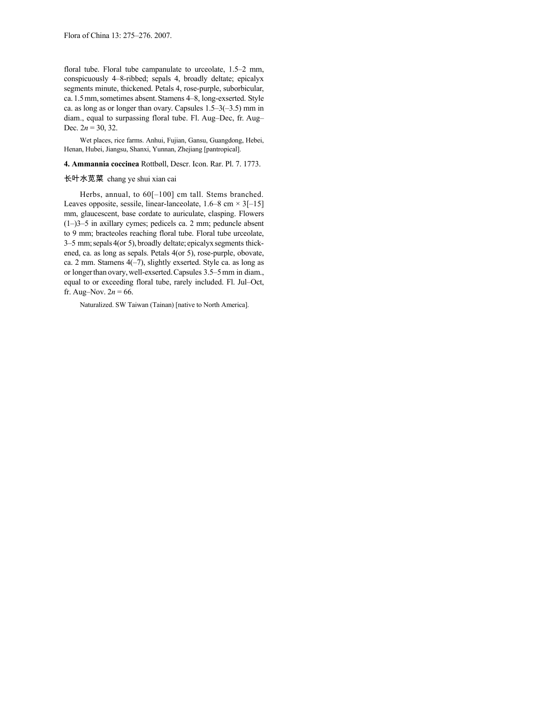floral tube. Floral tube campanulate to urceolate, 1.5–2 mm, conspicuously 4–8-ribbed; sepals 4, broadly deltate; epicalyx segments minute, thickened. Petals 4, rose-purple, suborbicular, ca.1.5mm,sometimes absent.Stamens 4–8, long-exserted. Style ca. as long as or longer than ovary. Capsules  $1.5-3(-3.5)$  mm in diam., equal to surpassing floral tube. Fl. Aug–Dec, fr. Aug– Dec.  $2n = 30, 32$ .

Wet places, rice farms. Anhui, Fujian, Gansu, Guangdong, Hebei, Henan, Hubei, Jiangsu, Shanxi, Yunnan, Zhejiang [pantropical].

# **4. Ammannia coccinea** Rottbøll, Descr. Icon. Rar. Pl. 7. 1773.

### 长叶水苋菜 chang ye shui xian cai

Herbs, annual, to 60[-100] cm tall. Stems branched. Leaves opposite, sessile, linear-lanceolate,  $1.6-8$  cm  $\times$  3[-15] mm, glaucescent, base cordate to auriculate, clasping. Flowers (1–)3–5 in axillary cymes; pedicels ca. 2 mm; peduncle absent to 9 mm; bracteoles reaching floral tube. Floral tube urceolate, 3–5 mm;sepals4(or 5), broadly deltate; epicalyxsegments thickened, ca. as long as sepals. Petals 4(or 5), rose-purple, obovate, ca. 2 mm. Stamens  $4(-7)$ , slightly exserted. Style ca. as long as or longerthan ovary,well-exserted.Capsules 3.5–5mm in diam., equal to or exceeding floral tube, rarely included. Fl. Jul–Oct, fr. Aug–Nov.  $2n = 66$ .

Naturalized. SW Taiwan (Tainan) [native to North America].